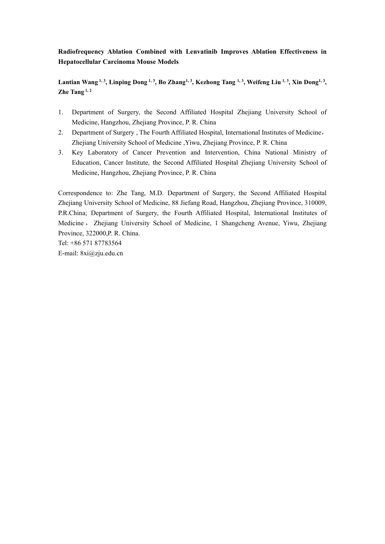# **Radiofrequency Ablation Combined with Lenvatinib Improves Ablation Effectiveness in Hepatocellular Carcinoma Mouse Models**

Lantian Wang 1, 3, Linping Dong 1, 3, Bo Zhang 1, 3, Kezhong Tang 1, 3, Weifeng Liu 1, 3, Xin Dong 1, 3, **, Zhe Tang 1, 2**

- 1. Department of Surgery, the Second Affiliated Hospital Zhejiang University School of Medicine, Hangzhou, Zhejiang Province, P. R. China
- 2. Department of Surgery , The Fourth Affiliated Hospital, International Institutes of Medicine, Zhejiang University School of Medicine ,Yiwu, Zhejiang Province, P. R. China
- 3. Key Laboratory of Cancer Prevention and Intervention, China National Ministry of Education, Cancer Institute, the Second Affiliated Hospital Zhejiang University School of Medicine, Hangzhou, Zhejiang Province, P. R. China

Correspondence to: Zhe Tang, M.D. Department of Surgery, the Second Affiliated Hospital Zhejiang University School of Medicine, 88 Jiefang Road, Hangzhou, Zhejiang Province, 310009, P.R.China; Department of Surgery, the Fourth Affiliated Hospital, International Institutes of Medicine , Zhejiang University School of Medicine, 1 Shangcheng Avenue, Yiwu, Zhejiang Province, 322000,P. R. China.

Tel: +86 571 87783564 E-mail: 8xi@zju.edu.cn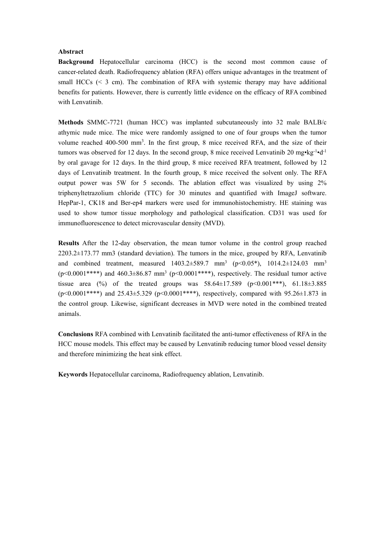# **Abstract**

**Background** Hepatocellular carcinoma (HCC) is the second most common cause of cancer-related death. Radiofrequency ablation (RFA) offers unique advantages in the treatment of small HCCs  $( $3 \text{ cm}$ ). The combination of RFA with systemic therapy may have additional$ benefits for patients. However, there is currently little evidence on the efficacy of RFA combined with Lenvatinib.

**Methods** SMMC-7721 (human HCC) was implanted subcutaneously into 32 male BALB/c athymic nude mice. The mice were randomly assigned to one offour groups when the tumor volume reached 400-500 mm<sup>3</sup>. In the first group, 8 mice received RFA, and the size of their tumors was observed for 12 days. In the second group, 8 mice received Lenvatinib 20 mg•kg<sup>-1</sup>•d<sup>-1</sup> by oral gavage for 12 days. In the third group, 8 mice received RFA treatment, followed by 12 days of Lenvatinib treatment. In the fourth group, 8 mice received the solvent only. The RFA output power was 5W for 5 seconds. The ablation effect was visualized by using 2% triphenyltetrazolium chloride (TTC) for 30 minutes and quantified with ImageJ software. HepPar-1, CK18 and Ber-ep4 markers were used for immunohistochemistry. HE staining was used to show tumor tissue morphology and pathological classification. CD31 was used for immunofluorescence to detect microvascular density (MVD).

**Results** After the 12-day observation, the mean tumor volume in the control group reached  $2203.2\pm173.77$  mm3 (standard deviation). The tumors in the mice, grouped by RFA, Lenvatinib and combined treatment, measured 1403.2±589.7 mm<sup>3</sup> (p<0.05\*), 1014.2±124.03 mm<sup>3</sup> ( $p$ <0.0001\*\*\*\*) and 460.3±86.87 mm<sup>3</sup> ( $p$ <0.0001\*\*\*\*), respectively. The residual tumor active tissue area (%) of the treated groups was  $58.64 \pm 17.589$  (p<0.001\*\*\*),  $61.18 \pm 3.885$  $(p<0.0001****)$  and 25.43±5.329 ( $p<0.0001****$ ), respectively, compared with 95.26±1.873 in the control group. Likewise, significant decreases in MVD were noted in the combined treated animals.

**Conclusions** RFA combinedwith Lenvatinib facilitated the anti-tumor effectiveness of RFA in the HCC mouse models. This effect may be caused by Lenvatinib reducing tumor blood vessel density and therefore minimizing the heat sink effect.

**Keywords** Hepatocellular carcinoma, Radiofrequency ablation, Lenvatinib.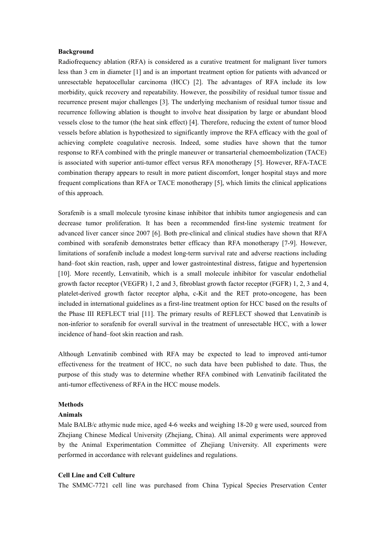# **Background**

Radiofrequency ablation (RFA) is considered as a curative treatment for malignant liver tumors less than 3 cm in diameter [1] and is an important treatment option for patients with advanced or unresectable hepatocellular carcinoma (HCC) [2]. The advantages of RFA include its low morbidity, quick recovery and repeatability. However, the possibility of residual tumor tissue and recurrence present major challenges [3]. The underlying mechanism of residual tumor tissue and recurrence following ablation is thought to involve heat dissipation by large or abundant blood vessels close to the tumor (the heat sink effect) [4]. Therefore, reducing the extentof tumor blood vessels before ablation is hypothesized to significantly improve the RFA efficacy with the goal of achieving complete coagulative necrosis. Indeed, some studies have shown that the tumor response to RFA combined with the pringle maneuver or transarterial chemoembolization (TACE) is associated with superior anti-tumor effect versus RFA monotherapy [5]. However, RFA-TACE combination therapy appears to result in more patient discomfort, longer hospital stays and more frequent complications than RFA or TACE monotherapy [5], which limits the clinical applications of this approach.

Sorafenib is a small molecule tyrosine kinase inhibitor that inhibits tumor angiogenesis and can decrease tumor proliferation. It has been a recommended first-line systemic treatment for advanced liver cancer since 2007 [6]. Both pre-clinical and clinical studies have shown that RFA combined with sorafenib demonstrates better efficacy than RFA monotherapy [7-9]. However, limitations of sorafenib include a modest long-term survival rate and adverse reactions including hand–foot skin reaction, rash, upper and lower gastrointestinal distress, fatigue and hypertension [10]. More recently, Lenvatinib, which is a small molecule inhibitor for vascular endothelial growth factor receptor (VEGFR) 1, 2 and 3, fibroblast growth factor receptor (FGFR) 1, 2, 3 and 4, platelet-derived growth factor receptor alpha, c-Kit and the RET proto-oncogene, has been included in international guidelines as a first-line treatment option for HCC based on the results of the Phase III REFLECT trial [11]. The primary results of REFLECT showed that Lenvatinib is non-inferior to sorafenib for overall survival in the treatment of unresectable HCC, with a lower incidence of hand–foot skin reaction and rash.

Although Lenvatinib combined with RFA may be expected to lead to improved anti-tumor effectiveness for the treatment of HCC, no such data have been published to date. Thus, the purpose of this study was to determine whether RFA combined with Lenvatinib facilitated the anti-tumor effectiveness of RFA in the HCC mouse models.

#### **Methods**

#### **Animals**

Male BALB/c athymic nude mice, aged 4-6 weeks and weighing 18-20 g were used, sourced from Zhejiang Chinese Medical University (Zhejiang, China). All animal experiments were approved by the Animal Experimentation Committee of Zhejiang University. All experiments were performed in accordance with relevant guidelines and regulations.

#### **Cell Line and Cell Culture**

The SMMC-7721 cell line was purchased from China Typical Species Preservation Center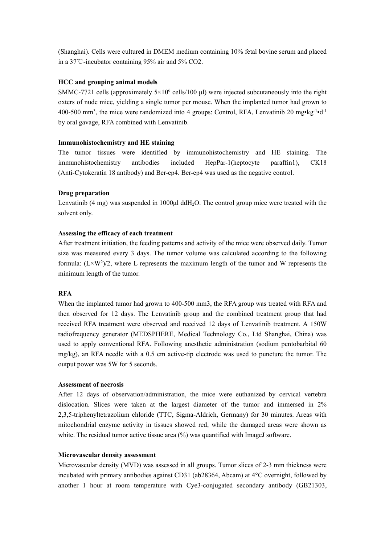(Shanghai). Cells were cultured in DMEM medium containing 10% fetal bovine serum and placed in a 37℃-incubator containing 95% air and 5% CO2.

# **HCC and grouping animal models**

SMMC-7721 cells (approximately  $5 \times 10^6$  cells/100  $\mu$ l) were injected subcutaneously into the right oxters of nude mice, yielding a single tumor per mouse. When the implanted tumor had grown to 400-500 mm<sup>3</sup>, the mice were randomized into 4 groups: Control, RFA, Lenvatinib 20 mg $\cdot$ kg<sup>-1</sup> $\cdot$ d<sup>-1</sup> by oral gavage, RFA combined with Lenvatinib.

# **Immunohistochemistry and HE staining**

The tumor tissues were identified by immunohistochemistry and HE staining. The immunohistochemistry antibodies included HepPar-1(heptocyte paraffin1), CK18 (Anti-Cytokeratin 18 antibody) and Ber-ep4. Ber-ep4 was used as the negative control.

# **Drug preparation**

Lenvatinib  $(4 \text{ mg})$  was suspended in 1000 $\mu$ l ddH<sub>2</sub>O. The control group mice were treated with the solvent only.

# **Assessing the efficacy of each treatment**

After treatment initiation, the feeding patterns and activity of the mice were observed daily. Tumor size was measured every 3 days. The tumor volume was calculated according to the following formula:  $(L \times W^2)/2$ , where L represents the maximum length of the tumor and W represents the minimum length of the tumor.

# **RFA**

When the implanted tumor had grown to 400-500 mm3, the RFA group was treated with RFA and then observed for 12 days. The Lenvatinib group and the combined treatment group that had received RFA treatment were observed and received 12 days of Lenvatinib treatment. A 150W radiofrequency generator (MEDSPHERE, Medical Technology Co., Ltd Shanghai, China) was used to apply conventional RFA. Following anesthetic administration (sodium pentobarbital 60 mg/kg), an RFA needle with a 0.5 cm active-tip electrode was used to puncture the tumor. The output power was 5W for 5 seconds.

# **Assessment of necrosis**

After 12 days of observation/administration, the mice were euthanized by cervical vertebra dislocation. Slices were taken at the largest diameter of the tumor and immersed in 2% 2,3,5-triphenyltetrazolium chloride (TTC, Sigma-Aldrich, Germany) for 30 minutes. Areas with mitochondrial enzyme activity in tissues showed red, while the damaged areas were shown as white. The residual tumor active tissue area (%) was quantified with ImageJ software.

# **Microvascular density assessment**

Microvascular density (MVD) was assessed in all groups. Tumor slices of 2-3 mm thickness were incubated with primary antibodies against CD31 (ab28364, Abcam) at  $4^{\circ}$ C overnight, followed by another 1 hour at room temperature with Cye3-conjugated secondary antibody (GB21303,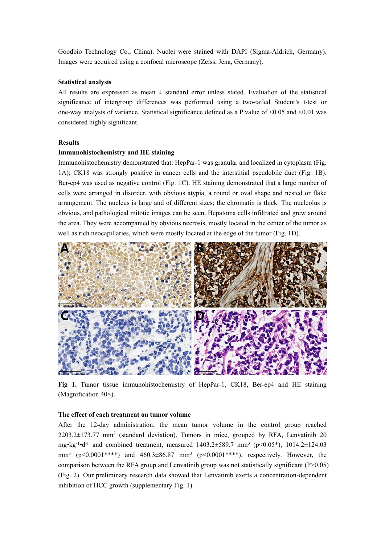Goodbio Technology Co., China). Nuclei were stained with DAPI (Sigma-Aldrich, Germany). Images were acquired using a confocal microscope (Zeiss, Jena, Germany).

# **Statistical analysis**

All results are expressed as mean  $\pm$  standard error unless stated. Evaluation of the statistical significance of intergroup differences was performed using a two-tailed Student's t-test or one-way analysis of variance. Statistical significance defined as a P value of  $\leq 0.05$  and  $\leq 0.01$  was considered highly significant.

# **Results**

### **Immunohistochemistry and HE staining**

Immunohistochemistry demonstrated that: HepPar-1 was granular and localized in cytoplasm (Fig. 1A); CK18 was strongly positive in cancer cells and the interstitial pseudobile duct (Fig. 1B). Ber-ep4 was used as negative control(Fig. 1C). HE staining demonstrated that a large number of cells were arranged in disorder, with obvious atypia, a round or oval shape and nested or flake arrangement. The nucleus is large and of different sizes; the chromatin is thick. The nucleolus is obvious, and pathological mitotic images can be seen. Hepatoma cells infiltrated and grew around the area. They were accompanied by obvious necrosis, mostly located in the center of the tumor as well as rich neocapillaries, which were mostly located at the edge of the tumor (Fig. 1D).



**Fig 1.** Tumor tissue immunohistochemistry of HepPar-1, CK18, Ber-ep4 and HE staining (Magnification 40×).

# **The effect of each treatment on tumor volume**

After the 12-day administration, the mean tumor volume in the control group reached  $2203.2\pm173.77$  mm<sup>3</sup> (standard deviation). Tumors in mice, grouped by RFA, Lenvatinib 20 mg•kg -1•d -1 and combined treatment, measured 1403.2±589.7 mm<sup>3</sup> (p<0.05\*), 1014.2±124.03 mm<sup>3</sup> (p<0.0001\*\*\*\*) and 460.3 $\pm$ 86.87 mm<sup>3</sup> (p<0.0001\*\*\*\*), respectively. However, the comparison between the RFA group and Lenvatinib group was not statistically significant  $(P>0.05)$ (Fig. 2). Our preliminary research data showed that Lenvatinib exerts a concentration-dependent inhibition of HCC growth (supplementary Fig. 1).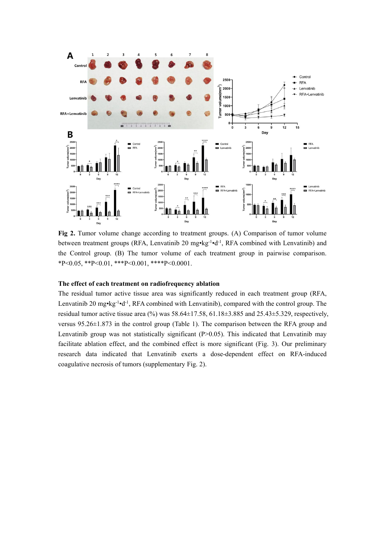

Fig 2. Tumor volume change according to treatment groups. (A) Comparison of tumor volume between treatment groups (RFA, Lenvatinib 20 mg•kg<sup>-1</sup>•d<sup>-1</sup>, RFA combined with Lenvatinib) and the Control group. (B) The tumor volume of each treatment group in pairwise comparison.  $*P<0.05$ ,  $*P<0.01$ ,  $**P<0.001$ ,  $***P<0.0001$ .

## **The effect of each treatment on radiofrequency ablation**

The residual tumor active tissue area was significantly reduced in each treatment group (RFA, Lenvatinib 20 mg•kg<sup>-1</sup>•d<sup>-1</sup>, RFA combined with Lenvatinib), compared with the control group. The residual tumor active tissue area (%) was 58.64±17.58, 61.18±3.885 and 25.43±5.329, respectively, versus  $95.26 \pm 1.873$  in the control group (Table 1). The comparison between the RFA group and Lenvatinib group was not statistically significant (P>0.05). This indicated that Lenvatinib may facilitate ablation effect, and the combined effect is more significant (Fig. 3). Our preliminary research data indicated that Lenvatinib exerts a dose-dependent effect on RFA-induced coagulative necrosis of tumors (supplementary Fig. 2).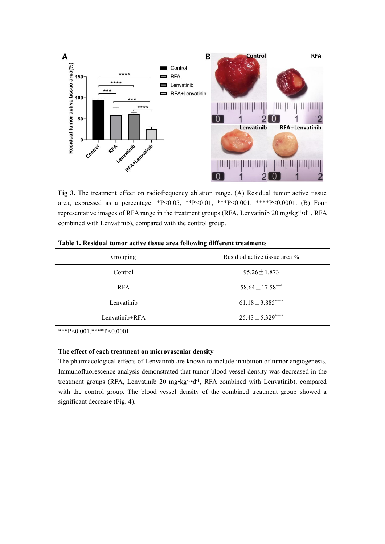

**Fig 3.** The treatment effect on radiofrequency ablation range. (A) Residual tumor active tissue area, expressed as a percentage: \*P<0.05, \*\*P<0.01, \*\*\*P<0.001, \*\*\*\*P<0.0001. (B) Four representative images of RFA range in the treatment groups (RFA, Lenvatinib 20 mg•kg<sup>-1</sup>•d<sup>-1</sup>, RFA combined with Lenvatinib), compared with the control group.

| Grouping       | Residual active tissue area %                |  |
|----------------|----------------------------------------------|--|
| Control        | $95.26 \pm 1.873$                            |  |
| <b>RFA</b>     | $58.64 \pm 17.58***$<br>$61.18 \pm 3.885***$ |  |
| Lenvatinib     |                                              |  |
| Lenvatinib+RFA | $25.43 \pm 5.329***$                         |  |

\*\*\*P<0.001.\*\*\*\*P<0.0001.

# **The effect of each treatment on microvascular density**

The pharmacological effects of Lenvatinib are known to include inhibition of tumor angiogenesis. Immunofluorescence analysis demonstrated that tumor blood vessel density was decreased in the treatment groups (RFA, Lenvatinib 20 mg•kg<sup>-1</sup>•d<sup>-1</sup>, RFA combined with Lenvatinib), compared with the control group. The blood vessel density of the combined treatment group showed a significant decrease (Fig. 4).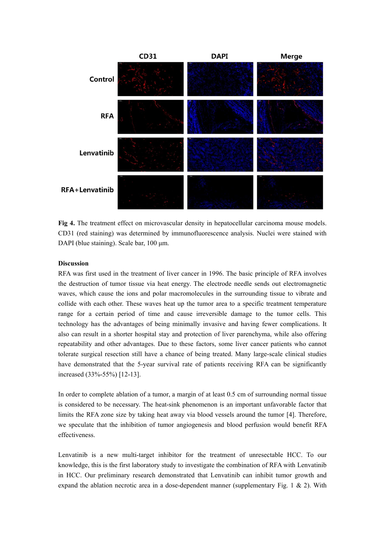

**Fig 4.** The treatment effect on microvascular density in hepatocellular carcinoma mouse models. CD31 (red staining) was determined by immunofluorescence analysis. Nuclei were stained with DAPI (blue staining). Scale bar, 100 μm.

# **Discussion**

RFA was first used in the treatment of liver cancer in 1996. The basic principle of RFA involves the destruction of tumor tissue via heat energy. The electrode needle sends out electromagnetic waves, which cause the ions and polar macromolecules in the surrounding tissue to vibrate and collide with each other. These waves heat up the tumor area to a specific treatment temperature range for a certain period of time and cause irreversible damage to the tumor cells. This technology has the advantages of being minimally invasive and having fewer complications. It also can result in a shorter hospital stay and protection of liver parenchyma, while also offering repeatability and other advantages. Due to these factors, some liver cancer patients who cannot tolerate surgical resection still have a chance of being treated. Many large-scale clinical studies have demonstrated that the 5-year survival rate of patients receiving RFA can be significantly increased (33%-55%) [12-13].

In order to complete ablation of a tumor, a margin of at least 0.5 cm of surrounding normal tissue is considered to be necessary. The heat-sink phenomenon is an important unfavorable factor that limits the RFA zone size by taking heat away via blood vessels around the tumor [4]. Therefore, we speculate that the inhibition of tumor angiogenesis and blood perfusion would benefit RFA effectiveness.

Lenvatinib is a new multi-target inhibitor for the treatment of unresectable HCC. To our knowledge, this is the first laboratory study to investigate the combination of RFA with Lenvatinib in HCC. Our preliminary research demonstrated that Lenvatinib can inhibit tumor growth and expand the ablation necrotic area in a dose-dependent manner (supplementary Fig. 1  $\&$  2). With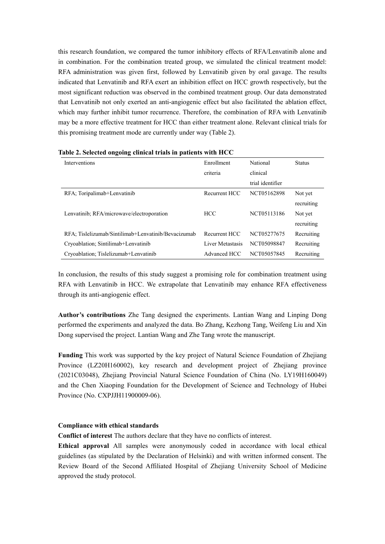this research foundation, we compared the tumor inhibitory effects of RFA/Lenvatinib alone and in combination. For the combination treated group, we simulated the clinical treatment model: RFA administration was given first, followed by Lenvatinib given by oral gavage. The results indicated that Lenvatinib and RFA exert an inhibition effect on HCC growth respectively, but the most significant reduction was observed in the combined treatment group. Our data demonstrated that Lenvatinib not only exerted an anti-angiogenic effect but also facilitated the ablation effect, which may further inhibit tumor recurrence. Therefore, the combination of RFA with Lenvatinib may be a more effective treatment for HCC than either treatment alone. Relevant clinical trials for this promising treatment mode are currently under way (Table 2).

| Interventions                                       | Enrollment       | National         | <b>Status</b> |
|-----------------------------------------------------|------------------|------------------|---------------|
|                                                     | criteria         | clinical         |               |
|                                                     |                  | trial identifier |               |
| RFA; Toripalimab+Lenvatinib                         | Recurrent HCC    | NCT05162898      | Not yet       |
|                                                     |                  |                  | recruiting    |
| Lenvatinib; RFA/microwave/electroporation           | <b>HCC</b>       | NCT05113186      | Not yet       |
|                                                     |                  |                  | recruiting    |
| RFA; Tislelizumab/Sintilimab+Lenvatinib/Bevacizumab | Recurrent HCC    | NCT05277675      | Recruiting    |
| Cryoablation: Sintilimab+Lenvatinib                 | Liver Metastasis | NCT05098847      | Recruiting    |
| Cryoablation; Tislelizumab+Lenvatinib               | Advanced HCC     | NCT05057845      | Recruiting    |

**Table 2. Selected ongoing clinical trials in patients with HCC**

In conclusion, the results of this study suggest a promising role for combination treatment using RFA with Lenvatinib in HCC. We extrapolate that Lenvatinib may enhance RFA effectiveness through its anti-angiogenic effect.

**Author's contributions** Zhe Tang designed the experiments. Lantian Wang and Linping Dong performed the experiments and analyzed the data. Bo Zhang, Kezhong Tang, Weifeng Liu and Xin Dong supervised the project.Lantian Wang and Zhe Tang wrote the manuscript.

**Funding** Thiswork was supported by the key project of Natural Science Foundation of Zhejiang Province (LZ20H160002), key research and development project of Zhejiang province (2021C03048), Zhejiang Provincial Natural Science Foundation of China (No. LY19H160049) and the Chen Xiaoping Foundation for the Development of Science and Technology of Hubei Province (No. CXPJJH11900009-06).

## **Compliance with ethical standards**

**Conflict of interest** The authors declare that they have no conflicts ofinterest.

**Ethical approval** All samples were anonymously coded in accordance with local ethical guidelines (as stipulated by the Declaration of Helsinki) and with written informed consent. The Review Board of the Second Affiliated Hospital of Zhejiang University School of Medicine approved the study protocol.